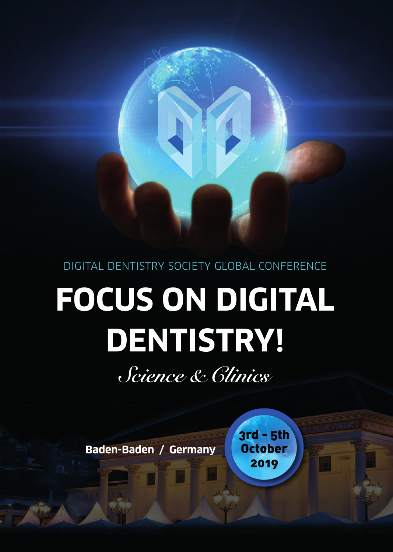DIGITAL DENTISTrY SoCIETY GLoBAL CoNFErENCE

# **FOCUS ON DIGITAL DENTISTRY!**

*Science & Clinics*

**Baden-Baden / Germany**

3rd - 5th **October** 2019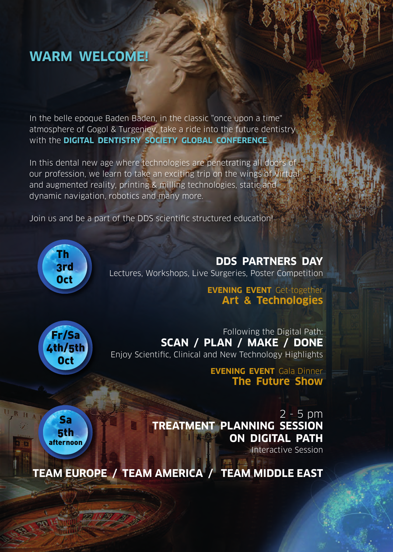# **WARM WELCOME!**

In the belle epoque Baden Baden, in the classic "once upon a time" atmosphere of Gogol & Turgeniev, take a ride into the future dentistry with the **DIGITAL DENTISTRY SOCIETY GLOBAL CONFERENCE**.

In this dental new age where technologies are penetrating all doors of our profession, we learn to take an exciting trip on the wings of virtual and augmented reality, printing & milling technologies, static and dynamic navigation, robotics and many more.

Join us and be a part of the DDS scientific structured education!



**DDS PARTNERS DAY** Lectures, Workshops, Live Surgeries, Poster Competition

## **EVENING EVENT** Get-together **Art & Technologies**



Sa 5th afternoon

Following the Digital Path: **SCAN / PLAN / MAKE / DONE** Enjoy Scientific, Clinical and New Technology Highlights

> **EVENING EVENT** Gala Dinner **The Future Show**

2 - 5 pm **TREATMENT PLANNING SESSION ON DIGITAL PATH** 

Interactive Session

**TEAM EUROPE / TEAM AMERICA / TEAM MIDDLE EAST**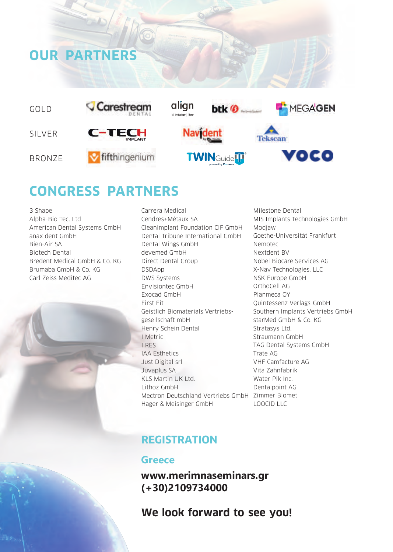

## **CONGRESS PARTNERS**

3 Shape Alpha-Bio Tec. Ltd American Dental Systems GmbH anax dent GmbH Bien-Air SA Biotech Dental Bredent Medical GmbH & Co. KG Brumaba GmbH & Co. KG Carl zeiss Meditec AG

**OUR PARTNERS**

Carrera Medical Cendres+Métaux SA CleanImplant Foundation CIF GmbH Dental Tribune International GmbH Dental Wings GmbH devemed GmbH Direct Dental Group DSDApp DWS Systems Envisiontec GmbH Exocad GmbH First Fit Geistlich Biomaterials vertriebsgesellschaft mbH Henry Schein Dental I Metric I rES IAA Esthetics Just Digital srl Juvaplus SA KLS Martin UK Ltd. Lithoz GmbH Mectron Deutschland vertriebs GmbH zimmer Biomet Hager & Meisinger GmbH

Milestone Dental MIS Implants Technologies GmbH Modjaw Goethe-Universität Frankfurt Nemotec Nextdent Bv Nobel Biocare Services AG X-Nav Technologies, LLC NSK Europe GmbH orthoCell AG Planmeca oY Quintessenz verlags-GmbH Southern Implants vertriebs GmbH starMed GmbH & Co. KG Stratasys Ltd. Straumann GmbH TAG Dental Systems GmbH Trate AG vHF Camfacture AG vita zahnfabrik Water Pik Inc. Dentalpoint AG LooCID LLC

## **REGISTRATION**

## **Greece**

**www.merimnaseminars.gr (+30)2109734000**

**We look forward to see you!**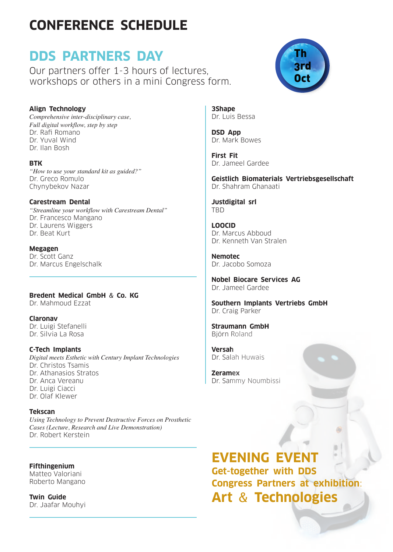# **CONFERENCE SCHEDULE**

# **DDS PARTNERS DAY**

Our partners offer 1-3 hours of lectures, workshops or others in a mini Congress form.

## **Align Technology**

*Comprehensive inter-disciplinary case, Full digital workflow, step by step* Dr. Rafi Romano Dr. Yuval Wind Dr. Ilan Bosh

**BTK** *"How to use your standard kit as guided?"* Dr. Greco Romulo Chynybekov Nazar

**Carestream Dental**

*"Streamline your workflow with Carestream Dental"* Dr. Francesco Mangano Dr. Laurens Wiggers Dr. Beat Kurt

**Megagen** Dr. Scott Ganz Dr. Marcus Engelschalk

**Bredent Medical GmbH** & **Co. KG** Dr. Mahmoud Ezzat

**Claronav** Dr. Luigi Stefanelli Dr. Silvia La Rosa

**C-Tech Implants** *Digital meets Esthetic with Century Implant Technologies* Dr. Christos Tsamis Dr. Athanasios Stratos Dr. Anca vereanu Dr. Luigi Ciacci Dr. olaf Klewer

**Tekscan** *Using Technology to Prevent Destructive Forces on Prosthetic Cases (Lecture, Research and Live Demonstration)* Dr. Robert Kerstein

## **Fifthingenium**

Matteo valoriani Roberto Mangano

**Twin Guide** Dr. Jaafar Mouhyi



**3Shape** Dr. Luis Bessa

**DSD App** Dr. Mark Bowes

**First Fit** Dr. Jameel Gardee

**Geistlich Biomaterials Vertriebsgesellschaft** Dr. Shahram Ghanaati

**Justdigital srl** TBD

**LOOCID** Dr. Marcus Abboud Dr. Kenneth van Stralen

**Nemotec** Dr. Jacobo Somoza

**Nobel Biocare Services AG** Dr. Jameel Gardee

**Southern Implants Vertriebs GmbH** Dr. Craig Parker

**Straumann GmbH** Björn Roland

**Versah** Dr. Salah Huwais

**Zeramex** Dr. Sammy Noumbissi

## **EVENING EVENT**

**Get-together with DDS Congress Partners at exhibition**: **Art** & **Technologies**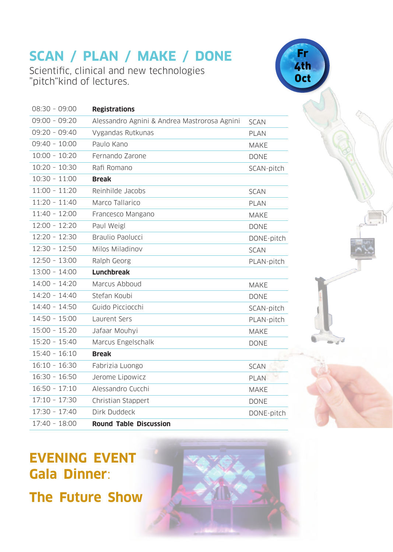# **SCAN / PLAN / MAKE / DONE**

Scientific, clinical and new technologies "pitch"kind of lectures.

| $08:30 - 09:00$ | <b>Registrations</b>                         |             |
|-----------------|----------------------------------------------|-------------|
| $09:00 - 09:20$ | Alessandro Agnini & Andrea Mastrorosa Agnini | <b>SCAN</b> |
| $09:20 - 09:40$ | Vygandas Rutkunas                            | <b>PLAN</b> |
| $09:40 - 10:00$ | Paulo Kano                                   | <b>MAKE</b> |
| $10:00 - 10:20$ | Fernando Zarone                              | <b>DONE</b> |
| $10:20 - 10:30$ | Rafi Romano                                  | SCAN-pitch  |
| $10:30 - 11:00$ | <b>Break</b>                                 |             |
| $11:00 - 11:20$ | Reinhilde Jacobs                             | <b>SCAN</b> |
| $11:20 - 11:40$ | Marco Tallarico                              | <b>PLAN</b> |
| $11:40 - 12:00$ | Francesco Mangano                            | <b>MAKE</b> |
| $12:00 - 12:20$ | Paul Weigl                                   | <b>DONE</b> |
| $12:20 - 12:30$ | Braulio Paolucci                             | DONE-pitch  |
| $12:30 - 12:50$ | Milos Miladinov                              | <b>SCAN</b> |
| $12:50 - 13:00$ | Ralph Georg                                  | PLAN-pitch  |
| $13:00 - 14:00$ | <b>Lunchbreak</b>                            |             |
|                 | Marcus Abboud                                | <b>MAKE</b> |
| $14:00 - 14:20$ |                                              |             |
| $14:20 - 14:40$ | Stefan Koubi                                 | <b>DONE</b> |
| $14:40 - 14:50$ | Guido Picciocchi                             | SCAN-pitch  |
| $14:50 - 15:00$ | Laurent Sers                                 | PLAN-pitch  |
| $15:00 - 15.20$ | Jafaar Mouhyi                                | <b>MAKE</b> |
| $15:20 - 15:40$ | Marcus Engelschalk                           | <b>DONE</b> |
| $15:40 - 16:10$ | <b>Break</b>                                 |             |
| $16:10 - 16:30$ | Fabrizia Luongo                              | <b>SCAN</b> |
| $16:30 - 16:50$ | Jerome Lipowicz                              | <b>PLAN</b> |
| $16:50 - 17:10$ | Alessandro Cucchi                            | <b>MAKE</b> |
| $17:10 - 17:30$ | Christian Stappert                           | <b>DONE</b> |
| $17:30 - 17:40$ | Dirk Duddeck                                 | DONE-pitch  |

Fr 4th **Oct** 



**The Future Show**